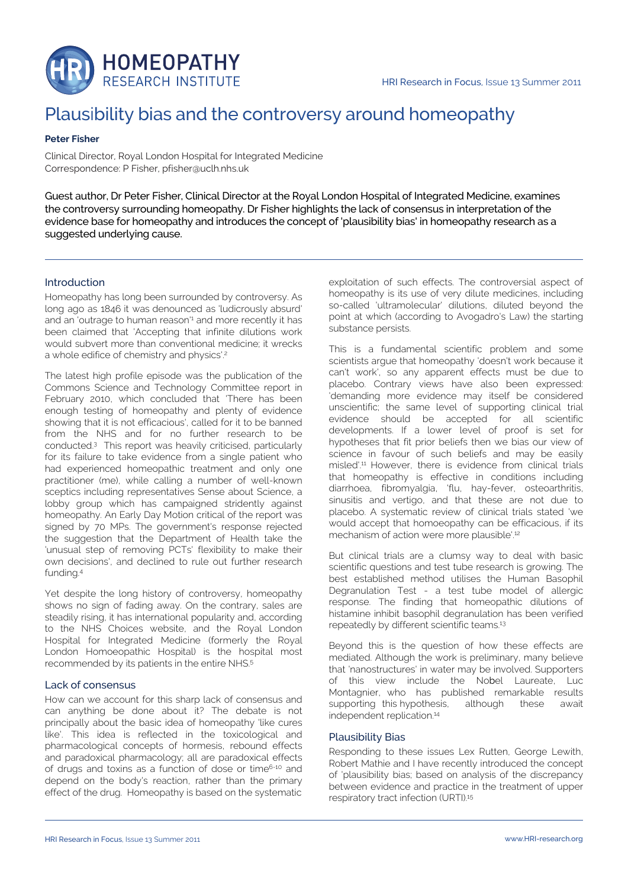

# Plausibility bias and the controversy around homeopathy

### **Peter Fisher**

Clinical Director, Royal London Hospital for Integrated Medicine Correspondence: P Fisher, pfisher@uclh.nhs.uk

Guest author, Dr Peter Fisher, Clinical Director at the Royal London Hospital of Integrated Medicine, examines the controversy surrounding homeopathy. Dr Fisher highlights the lack of consensus in interpretation of the evidence base for homeopathy and introduces the concept of 'plausibility bias' in homeopathy research as a suggested underlying cause.

### Introduction

Homeopathy has long been surrounded by controversy. As long ago as 1846 it was denounced as 'ludicrously absurd' and an 'outrage to human reason'<sup>1</sup> and more recently it has been claimed that 'Accepting that infinite dilutions work would subvert more than conventional medicine; it wrecks a whole edifice of chemistry and physics'.<sup>2</sup>

The latest high profile episode was the publication of the Commons Science and Technology Committee report in February 2010, which concluded that 'There has been enough testing of homeopathy and plenty of evidence showing that it is not efficacious', called for it to be banned from the NHS and for no further research to be conducted.<sup>3</sup> This report was heavily criticised, particularly for its failure to take evidence from a single patient who had experienced homeopathic treatment and only one practitioner (me), while calling a number of well-known sceptics including representatives Sense about Science, a lobby group which has campaigned stridently against homeopathy. An Early Day Motion critical of the report was signed by 70 MPs. The government's response rejected the suggestion that the Department of Health take the 'unusual step of removing PCTs' flexibility to make their own decisions', and declined to rule out further research funding.<sup>4</sup>

Yet despite the long history of controversy, homeopathy shows no sign of fading away. On the contrary, sales are steadily rising, it has international popularity and, according to the NHS Choices website, and the Royal London Hospital for Integrated Medicine (formerly the Royal London Homoeopathic Hospital) is the hospital most recommended by its patients in the entire NHS.<sup>5</sup>

#### Lack of consensus

How can we account for this sharp lack of consensus and can anything be done about it? The debate is not principally about the basic idea of homeopathy 'like cures like'. This idea is reflected in the toxicological and pharmacological concepts of hormesis, rebound effects and paradoxical pharmacology; all are paradoxical effects of drugs and toxins as a function of dose or time<sup>6-10</sup> and depend on the body's reaction, rather than the primary effect of the drug. Homeopathy is based on the systematic exploitation of such effects. The controversial aspect of homeopathy is its use of very dilute medicines, including so-called 'ultramolecular' dilutions, diluted beyond the point at which (according to Avogadro's Law) the starting substance persists.

This is a fundamental scientific problem and some scientists argue that homeopathy 'doesn't work because it can't work', so any apparent effects must be due to placebo. Contrary views have also been expressed: 'demanding more evidence may itself be considered unscientific; the same level of supporting clinical trial evidence should be accepted for all scientific developments. If a lower level of proof is set for hypotheses that fit prior beliefs then we bias our view of science in favour of such beliefs and may be easily misled'.<sup>11</sup> However, there is evidence from clinical trials that homeopathy is effective in conditions including diarrhoea, fibromyalgia, 'flu, hay-fever, osteoarthritis, sinusitis and vertigo, and that these are not due to placebo. A systematic review of clinical trials stated 'we would accept that homoeopathy can be efficacious, if its mechanism of action were more plausible'.<sup>12</sup>

But clinical trials are a clumsy way to deal with basic scientific questions and test tube research is growing. The best established method utilises the Human Basophil Degranulation Test - a test tube model of allergic response. The finding that homeopathic dilutions of histamine inhibit basophil degranulation has been verified repeatedly by different scientific teams.<sup>13</sup>

Beyond this is the question of how these effects are mediated. Although the work is preliminary, many believe that 'nanostructures' in water may be involved. Supporters of this view include the Nobel Laureate, Luc Montagnier, who has published remarkable results supporting this hypothesis, although these await independent replication.<sup>14</sup>

## Plausibility Bias

Responding to these issues Lex Rutten, George Lewith, Robert Mathie and I have recently introduced the concept of 'plausibility bias; based on analysis of the discrepancy between evidence and practice in the treatment of upper respiratory tract infection (URTI).<sup>15</sup>